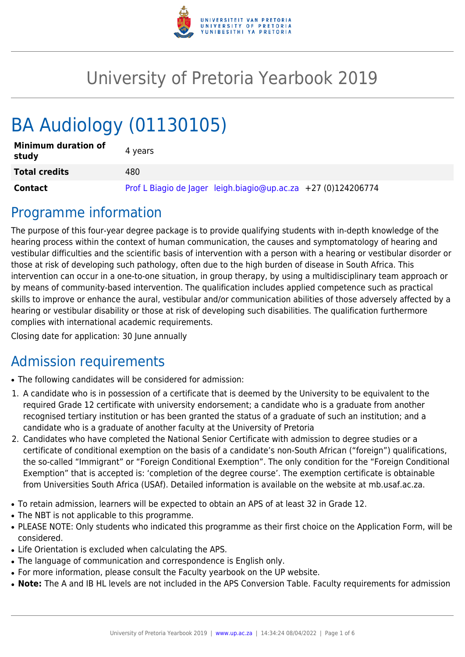

## University of Pretoria Yearbook 2019

# BA Audiology (01130105)

| <b>Minimum duration of</b><br>study | 4 vears                                                       |
|-------------------------------------|---------------------------------------------------------------|
| <b>Total credits</b>                | 480                                                           |
| <b>Contact</b>                      | Prof L Biagio de Jager leigh.biagio@up.ac.za +27 (0)124206774 |

### Programme information

The purpose of this four-year degree package is to provide qualifying students with in-depth knowledge of the hearing process within the context of human communication, the causes and symptomatology of hearing and vestibular difficulties and the scientific basis of intervention with a person with a hearing or vestibular disorder or those at risk of developing such pathology, often due to the high burden of disease in South Africa. This intervention can occur in a one-to-one situation, in group therapy, by using a multidisciplinary team approach or by means of community-based intervention. The qualification includes applied competence such as practical skills to improve or enhance the aural, vestibular and/or communication abilities of those adversely affected by a hearing or vestibular disability or those at risk of developing such disabilities. The qualification furthermore complies with international academic requirements.

Closing date for application: 30 June annually

### Admission requirements

- The following candidates will be considered for admission:
- 1. A candidate who is in possession of a certificate that is deemed by the University to be equivalent to the required Grade 12 certificate with university endorsement; a candidate who is a graduate from another recognised tertiary institution or has been granted the status of a graduate of such an institution; and a candidate who is a graduate of another faculty at the University of Pretoria
- 2. Candidates who have completed the National Senior Certificate with admission to degree studies or a certificate of conditional exemption on the basis of a candidate's non-South African ("foreign") qualifications, the so-called "Immigrant" or "Foreign Conditional Exemption". The only condition for the "Foreign Conditional Exemption" that is accepted is: 'completion of the degree course'. The exemption certificate is obtainable from Universities South Africa (USAf). Detailed information is available on the website at mb.usaf.ac.za.
- To retain admission, learners will be expected to obtain an APS of at least 32 in Grade 12.
- The NBT is not applicable to this programme.
- PLEASE NOTE: Only students who indicated this programme as their first choice on the Application Form, will be considered.
- Life Orientation is excluded when calculating the APS.
- The language of communication and correspondence is English only.
- For more information, please consult the Faculty yearbook on the UP website.
- Note: The A and IB HL levels are not included in the APS Conversion Table. Faculty requirements for admission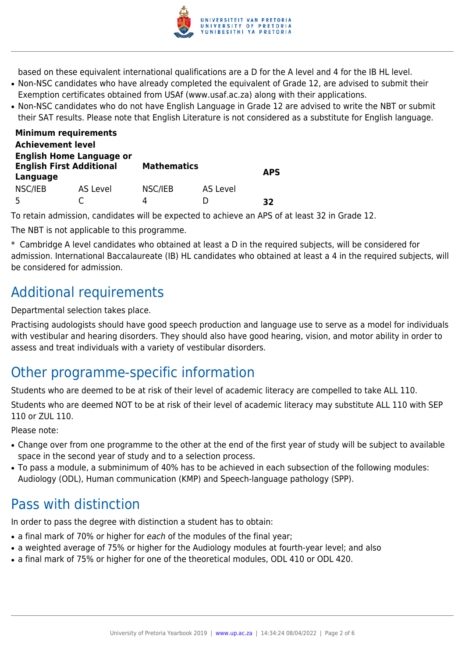

based on these equivalent international qualifications are a D for the A level and 4 for the IB HL level.

- Non-NSC candidates who have already completed the equivalent of Grade 12, are advised to submit their Exemption certificates obtained from USAf (www.usaf.ac.za) along with their applications.
- Non-NSC candidates who do not have English Language in Grade 12 are advised to write the NBT or submit their SAT results. Please note that English Literature is not considered as a substitute for English language.

| <b>Minimum requirements</b>                                                    |          |                    |          |            |  |
|--------------------------------------------------------------------------------|----------|--------------------|----------|------------|--|
| <b>Achievement level</b>                                                       |          |                    |          |            |  |
| <b>English Home Language or</b><br><b>English First Additional</b><br>Language |          | <b>Mathematics</b> |          | <b>APS</b> |  |
| NSC/IEB<br>5                                                                   | AS Level | NSC/IEB<br>4       | AS Level | 32         |  |

To retain admission, candidates will be expected to achieve an APS of at least 32 in Grade 12.

The NBT is not applicable to this programme.

\* Cambridge A level candidates who obtained at least a D in the required subjects, will be considered for admission. International Baccalaureate (IB) HL candidates who obtained at least a 4 in the required subjects, will be considered for admission.

### Additional requirements

Departmental selection takes place.

Practising audologists should have good speech production and language use to serve as a model for individuals with vestibular and hearing disorders. They should also have good hearing, vision, and motor ability in order to assess and treat individuals with a variety of vestibular disorders.

### Other programme-specific information

Students who are deemed to be at risk of their level of academic literacy are compelled to take ALL 110.

Students who are deemed NOT to be at risk of their level of academic literacy may substitute ALL 110 with SEP 110 or ZUL 110.

Please note:

- Change over from one programme to the other at the end of the first year of study will be subject to available space in the second year of study and to a selection process.
- To pass a module, a subminimum of 40% has to be achieved in each subsection of the following modules: Audiology (ODL), Human communication (KMP) and Speech-language pathology (SPP).

### Pass with distinction

In order to pass the degree with distinction a student has to obtain:

- a final mark of 70% or higher for each of the modules of the final year;
- a weighted average of 75% or higher for the Audiology modules at fourth-year level; and also
- a final mark of 75% or higher for one of the theoretical modules, ODL 410 or ODL 420.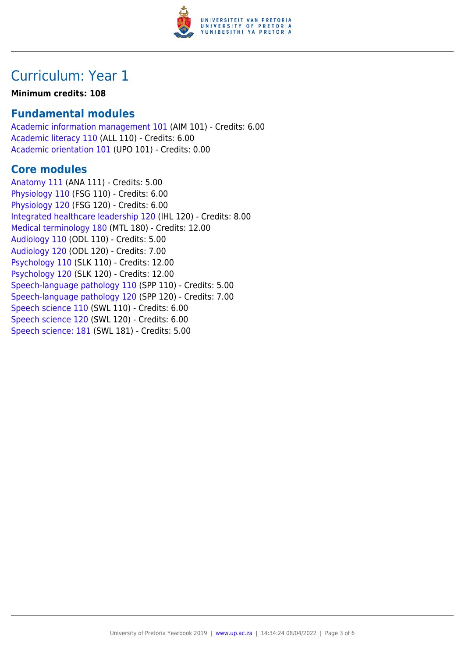

### Curriculum: Year 1

#### **Minimum credits: 108**

#### **Fundamental modules**

[Academic information management 101](https://www.up.ac.za/faculty-of-education/yearbooks/2019/modules/view/AIM 101) (AIM 101) - Credits: 6.00 [Academic literacy 110](https://www.up.ac.za/faculty-of-education/yearbooks/2019/modules/view/ALL 110) (ALL 110) - Credits: 6.00 [Academic orientation 101](https://www.up.ac.za/faculty-of-education/yearbooks/2019/modules/view/UPO 101) (UPO 101) - Credits: 0.00

#### **Core modules**

[Anatomy 111](https://www.up.ac.za/faculty-of-education/yearbooks/2019/modules/view/ANA 111) (ANA 111) - Credits: 5.00 [Physiology 110](https://www.up.ac.za/faculty-of-education/yearbooks/2019/modules/view/FSG 110) (FSG 110) - Credits: 6.00 [Physiology 120](https://www.up.ac.za/faculty-of-education/yearbooks/2019/modules/view/FSG 120) (FSG 120) - Credits: 6.00 [Integrated healthcare leadership 120](https://www.up.ac.za/faculty-of-education/yearbooks/2019/modules/view/IHL 120) (IHL 120) - Credits: 8.00 [Medical terminology 180](https://www.up.ac.za/faculty-of-education/yearbooks/2019/modules/view/MTL 180) (MTL 180) - Credits: 12.00 [Audiology 110](https://www.up.ac.za/faculty-of-education/yearbooks/2019/modules/view/ODL 110) (ODL 110) - Credits: 5.00 [Audiology 120](https://www.up.ac.za/faculty-of-education/yearbooks/2019/modules/view/ODL 120) (ODL 120) - Credits: 7.00 [Psychology 110](https://www.up.ac.za/faculty-of-education/yearbooks/2019/modules/view/SLK 110) (SLK 110) - Credits: 12.00 [Psychology 120](https://www.up.ac.za/faculty-of-education/yearbooks/2019/modules/view/SLK 120) (SLK 120) - Credits: 12.00 [Speech-language pathology 110](https://www.up.ac.za/faculty-of-education/yearbooks/2019/modules/view/SPP 110) (SPP 110) - Credits: 5.00 [Speech-language pathology 120](https://www.up.ac.za/faculty-of-education/yearbooks/2019/modules/view/SPP 120) (SPP 120) - Credits: 7.00 [Speech science 110](https://www.up.ac.za/faculty-of-education/yearbooks/2019/modules/view/SWL 110) (SWL 110) - Credits: 6.00 [Speech science 120](https://www.up.ac.za/faculty-of-education/yearbooks/2019/modules/view/SWL 120) (SWL 120) - Credits: 6.00 [Speech science: 181](https://www.up.ac.za/faculty-of-education/yearbooks/2019/modules/view/SWL 181) (SWL 181) - Credits: 5.00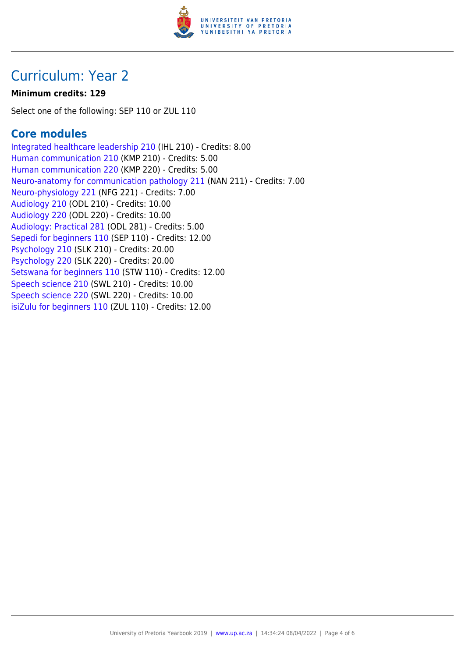

### Curriculum: Year 2

#### **Minimum credits: 129**

Select one of the following: SEP 110 or ZUL 110

#### **Core modules**

[Integrated healthcare leadership 210](https://www.up.ac.za/faculty-of-education/yearbooks/2019/modules/view/IHL 210) (IHL 210) - Credits: 8.00 [Human communication 210](https://www.up.ac.za/faculty-of-education/yearbooks/2019/modules/view/KMP 210) (KMP 210) - Credits: 5.00 [Human communication 220](https://www.up.ac.za/faculty-of-education/yearbooks/2019/modules/view/KMP 220) (KMP 220) - Credits: 5.00 [Neuro-anatomy for communication pathology 211](https://www.up.ac.za/faculty-of-education/yearbooks/2019/modules/view/NAN 211) (NAN 211) - Credits: 7.00 [Neuro-physiology 221](https://www.up.ac.za/faculty-of-education/yearbooks/2019/modules/view/NFG 221) (NFG 221) - Credits: 7.00 [Audiology 210](https://www.up.ac.za/faculty-of-education/yearbooks/2019/modules/view/ODL 210) (ODL 210) - Credits: 10.00 [Audiology 220](https://www.up.ac.za/faculty-of-education/yearbooks/2019/modules/view/ODL 220) (ODL 220) - Credits: 10.00 [Audiology: Practical 281](https://www.up.ac.za/faculty-of-education/yearbooks/2019/modules/view/ODL 281) (ODL 281) - Credits: 5.00 [Sepedi for beginners 110](https://www.up.ac.za/faculty-of-education/yearbooks/2019/modules/view/SEP 110) (SEP 110) - Credits: 12.00 [Psychology 210](https://www.up.ac.za/faculty-of-education/yearbooks/2019/modules/view/SLK 210) (SLK 210) - Credits: 20.00 [Psychology 220](https://www.up.ac.za/faculty-of-education/yearbooks/2019/modules/view/SLK 220) (SLK 220) - Credits: 20.00 [Setswana for beginners 110](https://www.up.ac.za/faculty-of-education/yearbooks/2019/modules/view/STW 110) (STW 110) - Credits: 12.00 [Speech science 210](https://www.up.ac.za/faculty-of-education/yearbooks/2019/modules/view/SWL 210) (SWL 210) - Credits: 10.00 [Speech science 220](https://www.up.ac.za/faculty-of-education/yearbooks/2019/modules/view/SWL 220) (SWL 220) - Credits: 10.00 [isiZulu for beginners 110](https://www.up.ac.za/faculty-of-education/yearbooks/2019/modules/view/ZUL 110) (ZUL 110) - Credits: 12.00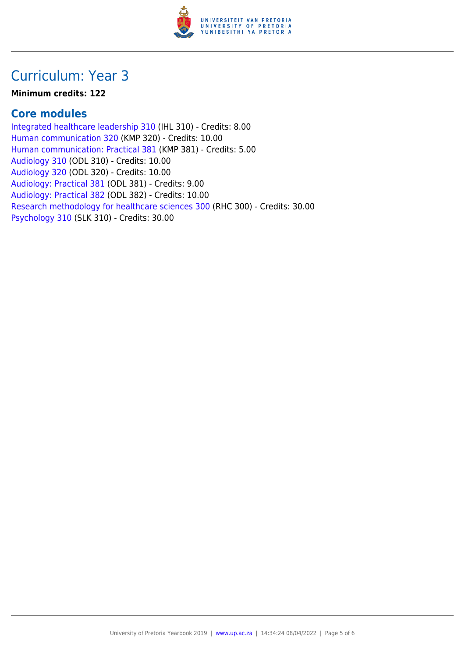

### Curriculum: Year 3

#### **Minimum credits: 122**

#### **Core modules**

[Integrated healthcare leadership 310](https://www.up.ac.za/faculty-of-education/yearbooks/2019/modules/view/IHL 310) (IHL 310) - Credits: 8.00 [Human communication 320](https://www.up.ac.za/faculty-of-education/yearbooks/2019/modules/view/KMP 320) (KMP 320) - Credits: 10.00 [Human communication: Practical 381](https://www.up.ac.za/faculty-of-education/yearbooks/2019/modules/view/KMP 381) (KMP 381) - Credits: 5.00 [Audiology 310](https://www.up.ac.za/faculty-of-education/yearbooks/2019/modules/view/ODL 310) (ODL 310) - Credits: 10.00 [Audiology 320](https://www.up.ac.za/faculty-of-education/yearbooks/2019/modules/view/ODL 320) (ODL 320) - Credits: 10.00 [Audiology: Practical 381](https://www.up.ac.za/faculty-of-education/yearbooks/2019/modules/view/ODL 381) (ODL 381) - Credits: 9.00 [Audiology: Practical 382](https://www.up.ac.za/faculty-of-education/yearbooks/2019/modules/view/ODL 382) (ODL 382) - Credits: 10.00 [Research methodology for healthcare sciences 300](https://www.up.ac.za/faculty-of-education/yearbooks/2019/modules/view/RHC 300) (RHC 300) - Credits: 30.00 [Psychology 310](https://www.up.ac.za/faculty-of-education/yearbooks/2019/modules/view/SLK 310) (SLK 310) - Credits: 30.00